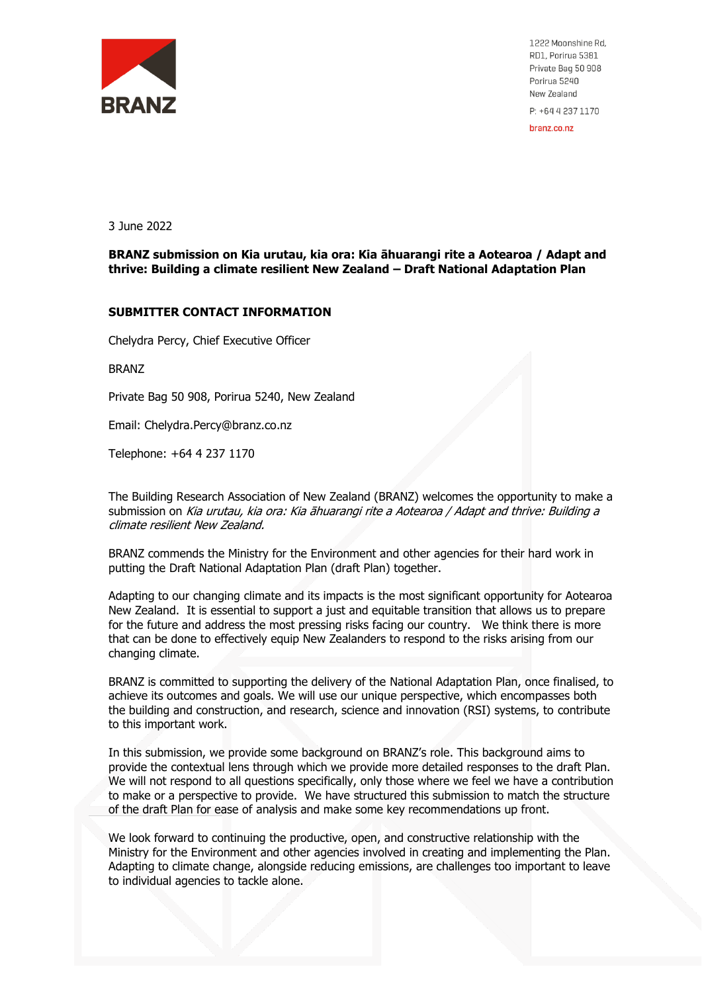

1222 Moonshine Rd, RD1, Porirua 5381 Private Bag 50 908 Porirua 5240 New Zealand P: +64 4 237 1170

branz.co.nz

3 June 2022

**BRANZ submission on Kia urutau, kia ora: Kia āhuarangi rite a Aotearoa / Adapt and thrive: Building a climate resilient New Zealand – Draft National Adaptation Plan** 

#### **SUBMITTER CONTACT INFORMATION**

Chelydra Percy, Chief Executive Officer

BRANZ

Private Bag 50 908, Porirua 5240, New Zealand

Email: [Chelydra.Percy@branz.co.nz](mailto:Chelydra.Percy@branz.co.nz)

Telephone: [+64 4 237 1170](tel:+64%204%20237%201170)

The Building Research Association of New Zealand (BRANZ) welcomes the opportunity to make a submission on Kia urutau, kia ora: Kia āhuarangi rite a Aotearoa / Adapt and thrive: Building a climate resilient New Zealand.

BRANZ commends the Ministry for the Environment and other agencies for their hard work in putting the Draft National Adaptation Plan (draft Plan) together.

Adapting to our changing climate and its impacts is the most significant opportunity for Aotearoa New Zealand. It is essential to support a just and equitable transition that allows us to prepare for the future and address the most pressing risks facing our country. We think there is more that can be done to effectively equip New Zealanders to respond to the risks arising from our changing climate.

BRANZ is committed to supporting the delivery of the National Adaptation Plan, once finalised, to achieve its outcomes and goals. We will use our unique perspective, which encompasses both the building and construction, and research, science and innovation (RSI) systems, to contribute to this important work.

In this submission, we provide some background on BRANZ's role. This background aims to provide the contextual lens through which we provide more detailed responses to the draft Plan. We will not respond to all questions specifically, only those where we feel we have a contribution to make or a perspective to provide. We have structured this submission to match the structure of the draft Plan for ease of analysis and make some key recommendations up front.

We look forward to continuing the productive, open, and constructive relationship with the Ministry for the Environment and other agencies involved in creating and implementing the Plan. Adapting to climate change, alongside reducing emissions, are challenges too important to leave to individual agencies to tackle alone.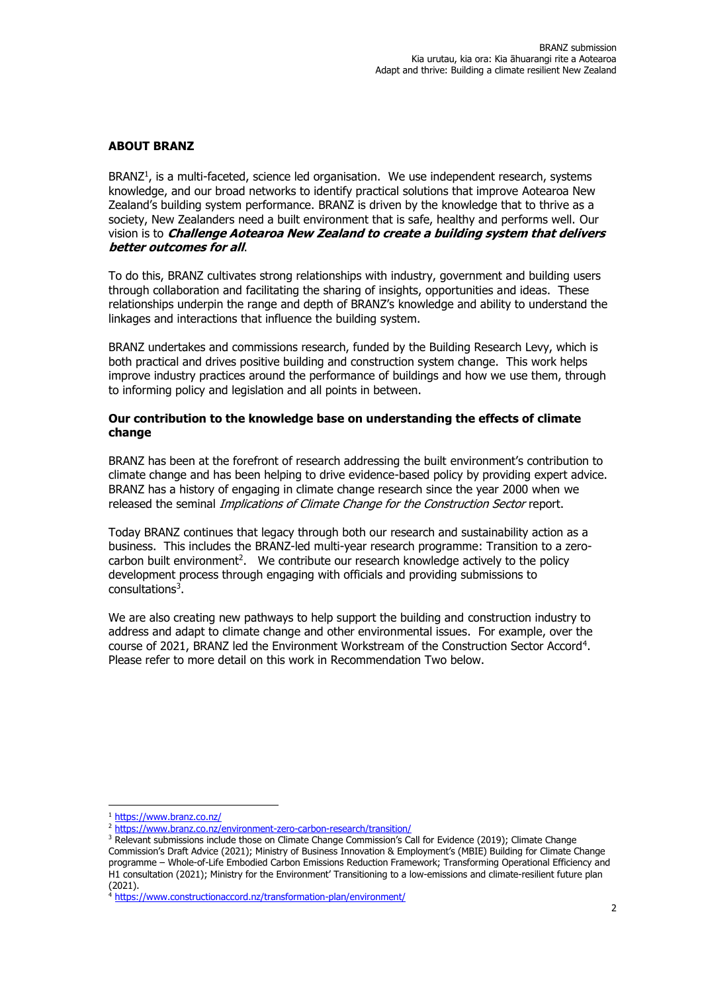# **ABOUT BRANZ**

BRANZ<sup>1</sup>, is a multi-faceted, science led organisation. We use independent research, systems knowledge, and our broad networks to identify practical solutions that improve Aotearoa New Zealand's building system performance. BRANZ is driven by the knowledge that to thrive as a society, New Zealanders need a built environment that is safe, healthy and performs well. Our vision is to **Challenge Aotearoa New Zealand to create a building system that delivers better outcomes for all**.

To do this, BRANZ cultivates strong relationships with industry, government and building users through collaboration and facilitating the sharing of insights, opportunities and ideas. These relationships underpin the range and depth of BRANZ's knowledge and ability to understand the linkages and interactions that influence the building system.

BRANZ undertakes and commissions research, funded by the Building Research Levy, which is both practical and drives positive building and construction system change. This work helps improve industry practices around the performance of buildings and how we use them, through to informing policy and legislation and all points in between.

## **Our contribution to the knowledge base on understanding the effects of climate change**

BRANZ has been at the forefront of research addressing the built environment's contribution to climate change and has been helping to drive evidence-based policy by providing expert advice. BRANZ has a history of engaging in climate change research since the year 2000 when we released the seminal Implications of Climate Change for the Construction Sector report.

Today BRANZ continues that legacy through both our research and sustainability action as a business. This includes the BRANZ-led multi-year research programme: Transition to a zerocarbon built environment<sup>2</sup>. We contribute our research knowledge actively to the policy development process through engaging with officials and providing submissions to consultations<sup>3</sup>.

We are also creating new pathways to help support the building and construction industry to address and adapt to climate change and other environmental issues. For example, over the course of 2021, BRANZ led the Environment Workstream of the Construction Sector Accord<sup>4</sup> . Please refer to more detail on this work in Recommendation Two below.

<sup>1</sup> <https://www.branz.co.nz/>

<sup>2</sup> <https://www.branz.co.nz/environment-zero-carbon-research/transition/>

<sup>&</sup>lt;sup>3</sup> Relevant submissions include those on Climate Change Commission's Call for Evidence (2019); Climate Change Commission's Draft Advice (2021); Ministry of Business Innovation & Employment's (MBIE) Building for Climate Change

programme – Whole-of-Life Embodied Carbon Emissions Reduction Framework; Transforming Operational Efficiency and H1 consultation (2021); Ministry for the Environment' Transitioning to a low-emissions and climate-resilient future plan (2021).

<sup>4</sup> <https://www.constructionaccord.nz/transformation-plan/environment/>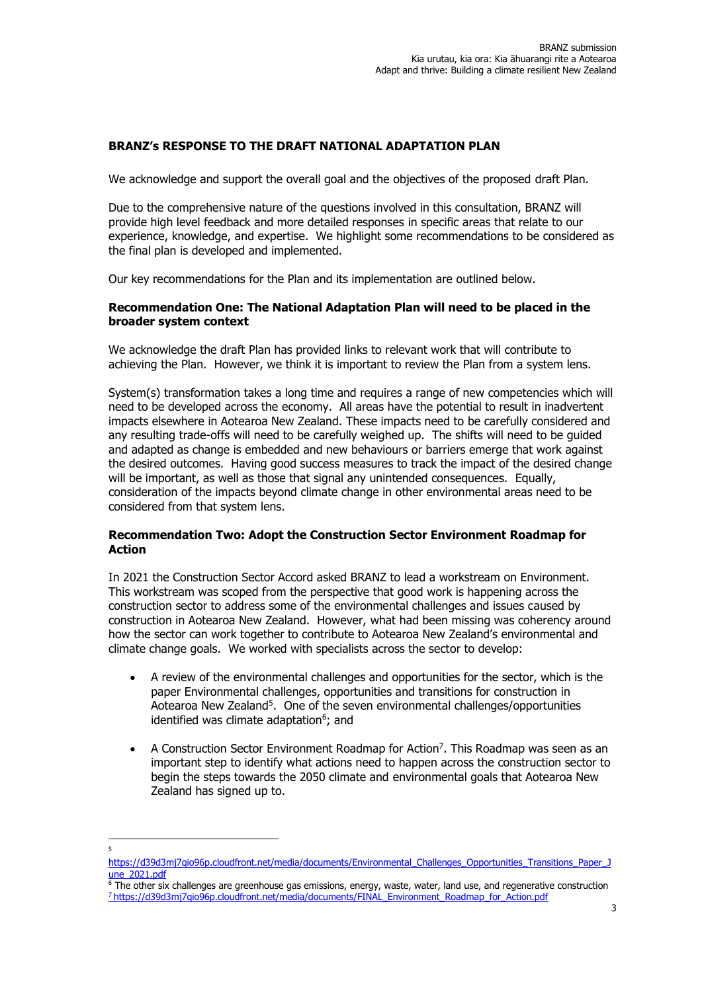## **BRANZ's RESPONSE TO THE DRAFT NATIONAL ADAPTATION PLAN**

We acknowledge and support the overall goal and the objectives of the proposed draft Plan.

Due to the comprehensive nature of the questions involved in this consultation, BRANZ will provide high level feedback and more detailed responses in specific areas that relate to our experience, knowledge, and expertise. We highlight some recommendations to be considered as the final plan is developed and implemented.

Our key recommendations for the Plan and its implementation are outlined below.

## **Recommendation One: The National Adaptation Plan will need to be placed in the broader system context**

We acknowledge the draft Plan has provided links to relevant work that will contribute to achieving the Plan. However, we think it is important to review the Plan from a system lens.

System(s) transformation takes a long time and requires a range of new competencies which will need to be developed across the economy. All areas have the potential to result in inadvertent impacts elsewhere in Aotearoa New Zealand. These impacts need to be carefully considered and any resulting trade-offs will need to be carefully weighed up. The shifts will need to be guided and adapted as change is embedded and new behaviours or barriers emerge that work against the desired outcomes. Having good success measures to track the impact of the desired change will be important, as well as those that signal any unintended consequences. Equally, consideration of the impacts beyond climate change in other environmental areas need to be considered from that system lens.

# **Recommendation Two: Adopt the Construction Sector Environment Roadmap for Action**

In 2021 the Construction Sector Accord asked BRANZ to lead a workstream on Environment. This workstream was scoped from the perspective that good work is happening across the construction sector to address some of the environmental challenges and issues caused by construction in Aotearoa New Zealand. However, what had been missing was coherency around how the sector can work together to contribute to Aotearoa New Zealand's environmental and climate change goals. We worked with specialists across the sector to develop:

- A review of the environmental challenges and opportunities for the sector, which is the paper [Environmental challenges, opportunities and transitions for construction in](https://d39d3mj7qio96p.cloudfront.net/media/documents/Environmental_Challenges_Opportunities_Transitions_Paper_June_2021.pdf)  [Aotearoa New Zealand](https://d39d3mj7qio96p.cloudfront.net/media/documents/Environmental_Challenges_Opportunities_Transitions_Paper_June_2021.pdf)<sup>5</sup>. One of the seven environmental challenges/opportunities identified was climate adaptation<sup>6</sup>; and
- [A Construction Sector Environment Roadmap for Action](https://www.branz.co.nz/documents/3516/FINAL_Environment_Roadmap_for_Action.pdf)<sup>7</sup>. This Roadmap was seen as an important step to identify what actions need to happen across the construction sector to begin the steps towards the 2050 climate and environmental goals that Aotearoa New Zealand has signed up to.

<sup>5</sup>

https://d39d3mj7qio96p.cloudfront.net/media/documents/Environmental\_Challenges\_Opportunities\_Transitions\_Paper\_J une\_2021.pdf

 $6$  The other six challenges are greenhouse gas emissions, energy, waste, water, land use, and regenerative construction 7 https://d39d3mj7qio96p.cloudfront.net/media/documents/FINAL\_Environment\_Roadmap\_for\_Action.pdf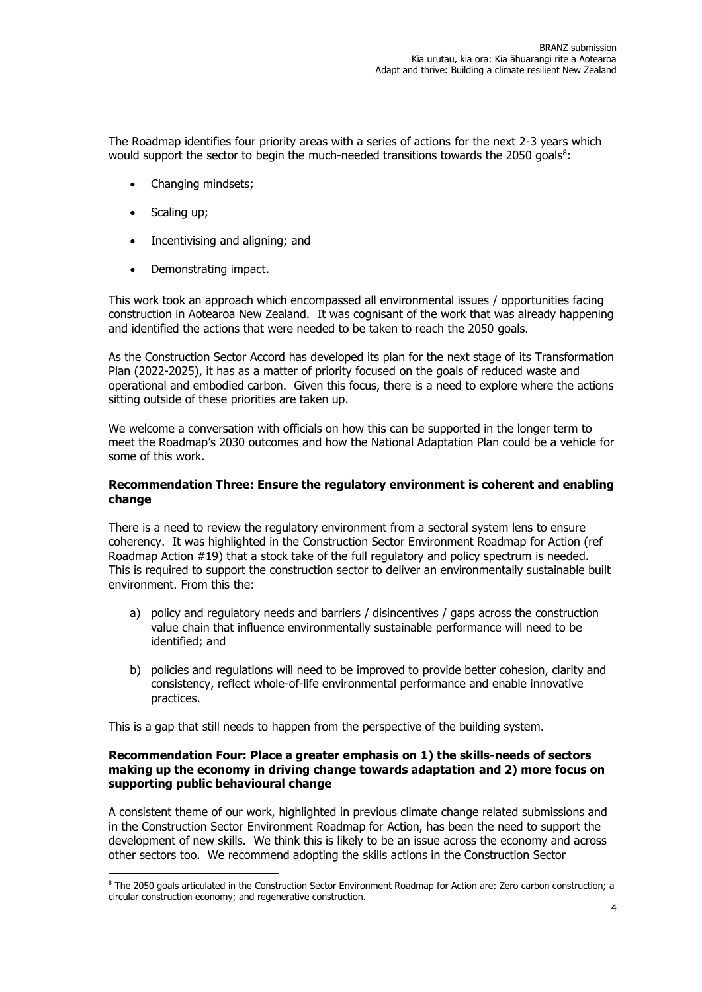The Roadmap identifies four priority areas with a series of actions for the next 2-3 years which would support the sector to begin the much-needed transitions towards the 2050 goals $^8$ :

- Changing mindsets;
- Scaling up;
- Incentivising and aligning; and
- Demonstrating impact.

This work took an approach which encompassed all environmental issues / opportunities facing construction in Aotearoa New Zealand. It was cognisant of the work that was already happening and identified the actions that were needed to be taken to reach the 2050 goals.

As the Construction Sector Accord has developed its plan for the next stage of its Transformation Plan (2022-2025), it has as a matter of priority focused on the goals of reduced waste and operational and embodied carbon. Given this focus, there is a need to explore where the actions sitting outside of these priorities are taken up.

We welcome a conversation with officials on how this can be supported in the longer term to meet the Roadmap's 2030 outcomes and how the National Adaptation Plan could be a vehicle for some of this work.

#### **Recommendation Three: Ensure the regulatory environment is coherent and enabling change**

There is a need to review the regulatory environment from a sectoral system lens to ensure coherency. It was highlighted in the Construction Sector Environment Roadmap for Action (ref Roadmap Action #19) that a stock take of the full regulatory and policy spectrum is needed. This is required to support the construction sector to deliver an environmentally sustainable built environment. From this the:

- a) policy and regulatory needs and barriers / disincentives / gaps across the construction value chain that influence environmentally sustainable performance will need to be identified; and
- b) policies and regulations will need to be improved to provide better cohesion, clarity and consistency, reflect whole-of-life environmental performance and enable innovative practices.

This is a gap that still needs to happen from the perspective of the building system.

## **Recommendation Four: Place a greater emphasis on 1) the skills-needs of sectors making up the economy in driving change towards adaptation and 2) more focus on supporting public behavioural change**

A consistent theme of our work, highlighted in previous climate change related submissions and in the Construction Sector Environment Roadmap for Action, has been the need to support the development of new skills. We think this is likely to be an issue across the economy and across other sectors too. We recommend adopting the skills actions in the Construction Sector

<sup>8</sup> The 2050 goals articulated in the Construction Sector Environment Roadmap for Action are: Zero carbon construction; a circular construction economy; and regenerative construction.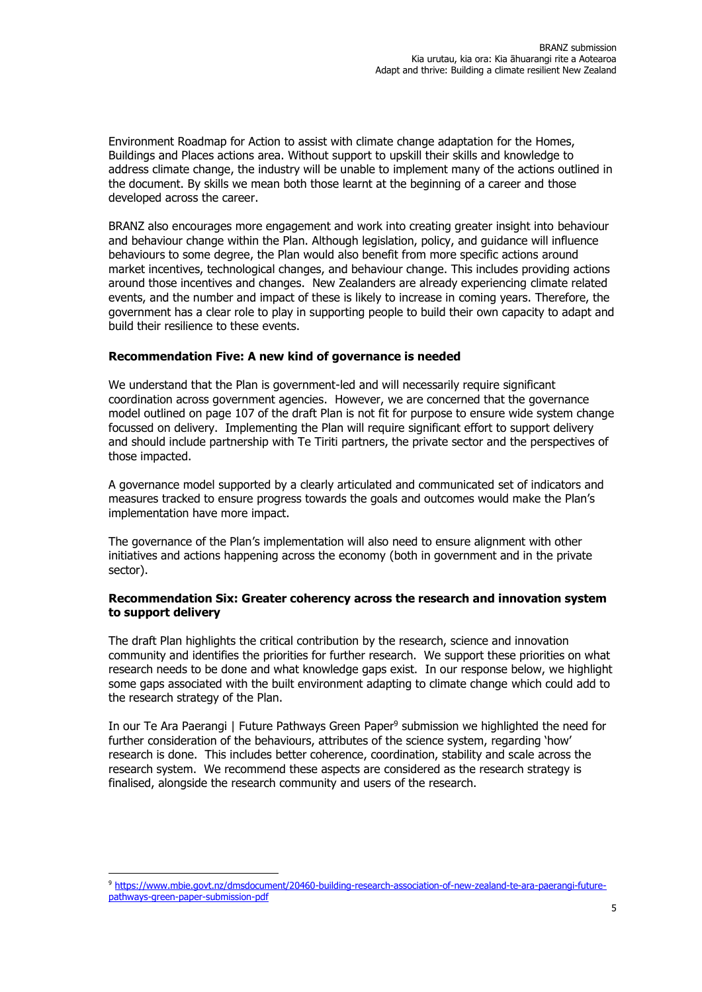Environment Roadmap for Action to assist with climate change adaptation for the Homes, Buildings and Places actions area. Without support to upskill their skills and knowledge to address climate change, the industry will be unable to implement many of the actions outlined in the document. By skills we mean both those learnt at the beginning of a career and those developed across the career.

BRANZ also encourages more engagement and work into creating greater insight into behaviour and behaviour change within the Plan. Although legislation, policy, and guidance will influence behaviours to some degree, the Plan would also benefit from more specific actions around market incentives, technological changes, and behaviour change. This includes providing actions around those incentives and changes. New Zealanders are already experiencing climate related events, and the number and impact of these is likely to increase in coming years. Therefore, the government has a clear role to play in supporting people to build their own capacity to adapt and build their resilience to these events.

## **Recommendation Five: A new kind of governance is needed**

We understand that the Plan is government-led and will necessarily require significant coordination across government agencies. However, we are concerned that the governance model outlined on page 107 of the draft Plan is not fit for purpose to ensure wide system change focussed on delivery. Implementing the Plan will require significant effort to support delivery and should include partnership with Te Tiriti partners, the private sector and the perspectives of those impacted.

A governance model supported by a clearly articulated and communicated set of indicators and measures tracked to ensure progress towards the goals and outcomes would make the Plan's implementation have more impact.

The governance of the Plan's implementation will also need to ensure alignment with other initiatives and actions happening across the economy (both in government and in the private sector).

#### **Recommendation Six: Greater coherency across the research and innovation system to support delivery**

The draft Plan highlights the critical contribution by the research, science and innovation community and identifies the priorities for further research. We support these priorities on what research needs to be done and what knowledge gaps exist. In our response below, we highlight some gaps associated with the built environment adapting to climate change which could add to the research strategy of the Plan.

In our Te Ara Paerangi | Future Pathways Green Paper<sup>9</sup> submission we highlighted the need for further consideration of the behaviours, attributes of the science system, regarding 'how' research is done. This includes better coherence, coordination, stability and scale across the research system. We recommend these aspects are considered as the research strategy is finalised, alongside the research community and users of the research.

<sup>9</sup> [https://www.mbie.govt.nz/dmsdocument/20460-building-research-association-of-new-zealand-te-ara-paerangi-future](https://www.mbie.govt.nz/dmsdocument/20460-building-research-association-of-new-zealand-te-ara-paerangi-future-pathways-green-paper-submission-pdf)[pathways-green-paper-submission-pdf](https://www.mbie.govt.nz/dmsdocument/20460-building-research-association-of-new-zealand-te-ara-paerangi-future-pathways-green-paper-submission-pdf)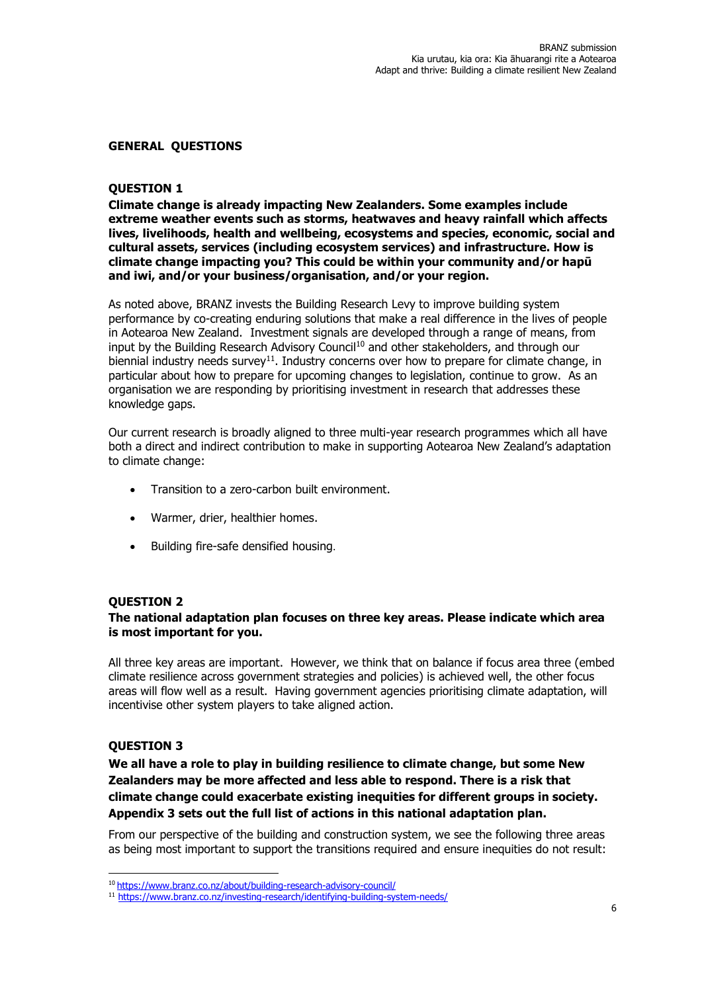#### **GENERAL QUESTIONS**

## **QUESTION 1**

**Climate change is already impacting New Zealanders. Some examples include extreme weather events such as storms, heatwaves and heavy rainfall which affects lives, livelihoods, health and wellbeing, ecosystems and species, economic, social and cultural assets, services (including ecosystem services) and infrastructure. How is climate change impacting you? This could be within your community and/or hapū and iwi, and/or your business/organisation, and/or your region.**

As noted above, BRANZ invests the Building Research Levy to improve building system performance by co-creating enduring solutions that make a real difference in the lives of people in Aotearoa New Zealand. Investment signals are developed through a range of means, from input by the Building Research Advisory Council<sup>10</sup> and other stakeholders, and through our biennial industry needs survey<sup>11</sup>. Industry concerns over how to prepare for climate change, in particular about how to prepare for upcoming changes to legislation, continue to grow. As an organisation we are responding by prioritising investment in research that addresses these knowledge gaps.

Our current research is broadly aligned to three multi-year research programmes which all have both a direct and indirect contribution to make in supporting Aotearoa New Zealand's adaptation to climate change:

- Transition to a zero-carbon built environment.
- Warmer, drier, healthier homes.
- Building fire-safe densified housing.

## **QUESTION 2**

## **The national adaptation plan focuses on three key areas. Please indicate which area is most important for you.**

All three key areas are important. However, we think that on balance if focus area three (embed climate resilience across government strategies and policies) is achieved well, the other focus areas will flow well as a result. Having government agencies prioritising climate adaptation, will incentivise other system players to take aligned action.

## **QUESTION 3**

**We all have a role to play in building resilience to climate change, but some New Zealanders may be more affected and less able to respond. There is a risk that climate change could exacerbate existing inequities for different groups in society. Appendix 3 sets out the full list of actions in this national adaptation plan.**

From our perspective of the building and construction system, we see the following three areas as being most important to support the transitions required and ensure inequities do not result:

<sup>10</sup> <https://www.branz.co.nz/about/building-research-advisory-council/>

<sup>11</sup> <https://www.branz.co.nz/investing-research/identifying-building-system-needs/>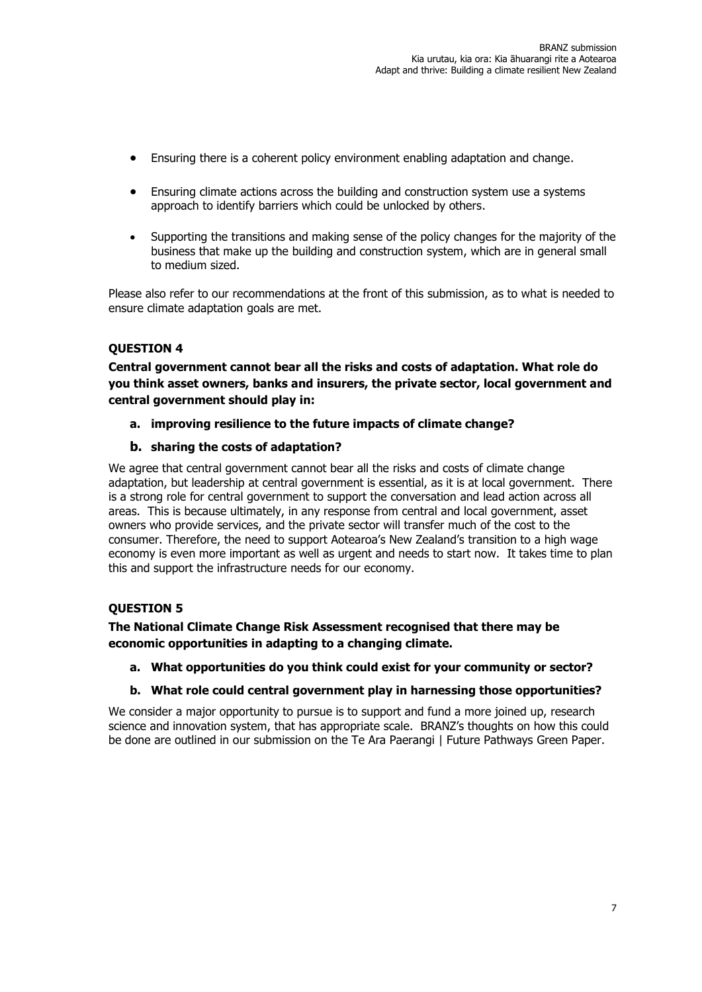- Ensuring there is a coherent policy environment enabling adaptation and change.
- Ensuring climate actions across the building and construction system use a systems approach to identify barriers which could be unlocked by others.
- Supporting the transitions and making sense of the policy changes for the majority of the business that make up the building and construction system, which are in general small to medium sized.

Please also refer to our recommendations at the front of this submission, as to what is needed to ensure climate adaptation goals are met.

# **QUESTION 4**

**Central government cannot bear all the risks and costs of adaptation. What role do you think asset owners, banks and insurers, the private sector, local government and central government should play in:** 

**a. improving resilience to the future impacts of climate change?** 

## **b. sharing the costs of adaptation?**

We agree that central government cannot bear all the risks and costs of climate change adaptation, but leadership at central government is essential, as it is at local government. There is a strong role for central government to support the conversation and lead action across all areas. This is because ultimately, in any response from central and local government, asset owners who provide services, and the private sector will transfer much of the cost to the consumer. Therefore, the need to support Aotearoa's New Zealand's transition to a high wage economy is even more important as well as urgent and needs to start now. It takes time to plan this and support the infrastructure needs for our economy.

## **QUESTION 5**

**The National Climate Change Risk Assessment recognised that there may be economic opportunities in adapting to a changing climate.** 

**a. What opportunities do you think could exist for your community or sector?** 

## **b. What role could central government play in harnessing those opportunities?**

We consider a major opportunity to pursue is to support and fund a more joined up, research science and innovation system, that has appropriate scale. BRANZ's thoughts on how this could be done are outlined in our submission on the Te Ara Paerangi | Future Pathways Green Paper.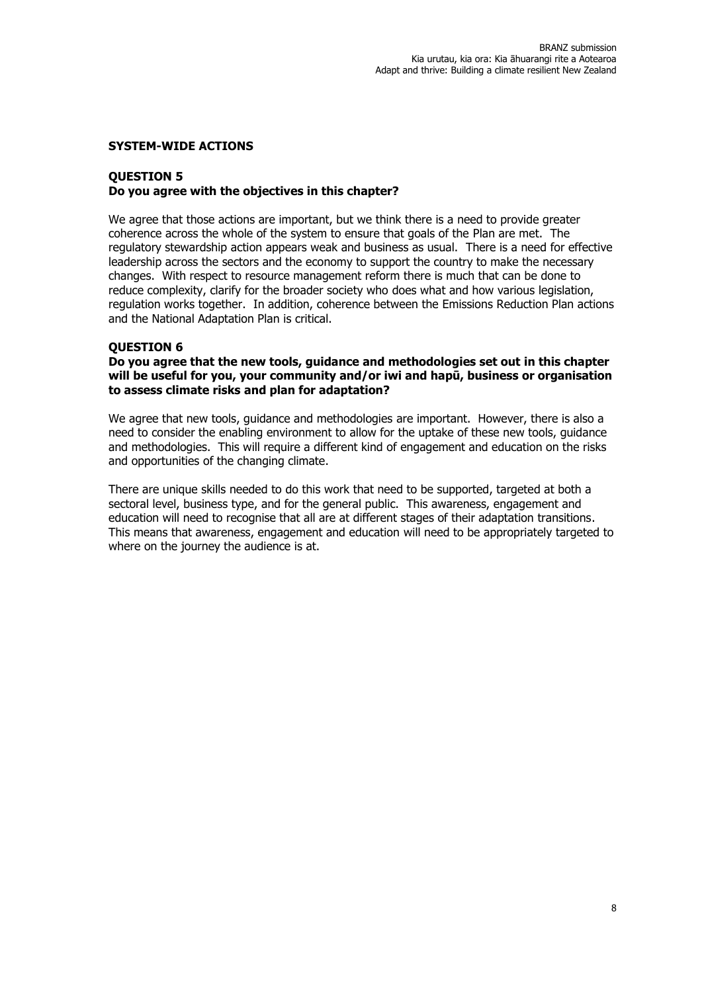#### **SYSTEM-WIDE ACTIONS**

## **QUESTION 5 Do you agree with the objectives in this chapter?**

We agree that those actions are important, but we think there is a need to provide greater coherence across the whole of the system to ensure that goals of the Plan are met. The regulatory stewardship action appears weak and business as usual. There is a need for effective leadership across the sectors and the economy to support the country to make the necessary changes. With respect to resource management reform there is much that can be done to reduce complexity, clarify for the broader society who does what and how various legislation, regulation works together. In addition, coherence between the Emissions Reduction Plan actions and the National Adaptation Plan is critical.

#### **QUESTION 6**

**Do you agree that the new tools, guidance and methodologies set out in this chapter will be useful for you, your community and/or iwi and hapū, business or organisation to assess climate risks and plan for adaptation?** 

We agree that new tools, guidance and methodologies are important. However, there is also a need to consider the enabling environment to allow for the uptake of these new tools, guidance and methodologies. This will require a different kind of engagement and education on the risks and opportunities of the changing climate.

There are unique skills needed to do this work that need to be supported, targeted at both a sectoral level, business type, and for the general public. This awareness, engagement and education will need to recognise that all are at different stages of their adaptation transitions. This means that awareness, engagement and education will need to be appropriately targeted to where on the journey the audience is at.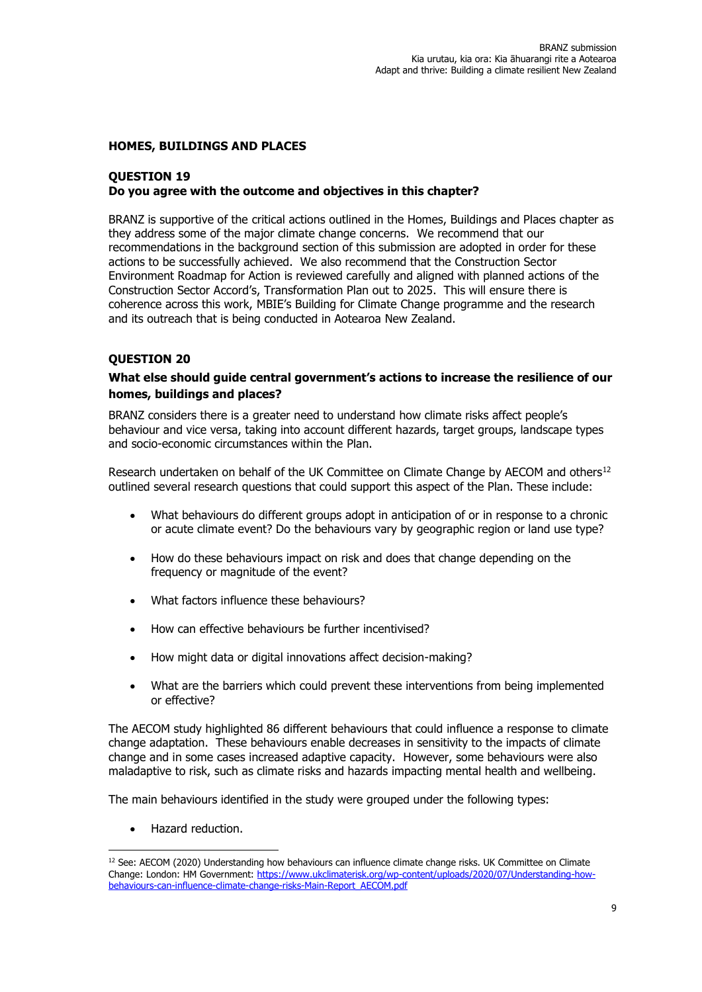## **HOMES, BUILDINGS AND PLACES**

## **QUESTION 19 Do you agree with the outcome and objectives in this chapter?**

BRANZ is supportive of the critical actions outlined in the Homes, Buildings and Places chapter as they address some of the major climate change concerns. We recommend that our recommendations in the background section of this submission are adopted in order for these actions to be successfully achieved. We also recommend that the Construction Sector Environment Roadmap for Action is reviewed carefully and aligned with planned actions of the Construction Sector Accord's, Transformation Plan out to 2025. This will ensure there is coherence across this work, MBIE's Building for Climate Change programme and the research and its outreach that is being conducted in Aotearoa New Zealand.

#### **QUESTION 20**

# **What else should guide central government's actions to increase the resilience of our homes, buildings and places?**

BRANZ considers there is a greater need to understand how climate risks affect people's behaviour and vice versa, taking into account different hazards, target groups, landscape types and socio-economic circumstances within the Plan.

Research undertaken on behalf of the UK Committee on Climate Change by AECOM and others<sup>12</sup> outlined several research questions that could support this aspect of the Plan. These include:

- What behaviours do different groups adopt in anticipation of or in response to a chronic or acute climate event? Do the behaviours vary by geographic region or land use type?
- How do these behaviours impact on risk and does that change depending on the frequency or magnitude of the event?
- What factors influence these behaviours?
- How can effective behaviours be further incentivised?
- How might data or digital innovations affect decision-making?
- What are the barriers which could prevent these interventions from being implemented or effective?

The AECOM study highlighted 86 different behaviours that could influence a response to climate change adaptation. These behaviours enable decreases in sensitivity to the impacts of climate change and in some cases increased adaptive capacity. However, some behaviours were also maladaptive to risk, such as climate risks and hazards impacting mental health and wellbeing.

The main behaviours identified in the study were grouped under the following types:

• Hazard reduction.

<sup>&</sup>lt;sup>12</sup> See: AECOM (2020) Understanding how behaviours can influence climate change risks. UK Committee on Climate Change: London: HM Government: [https://www.ukclimaterisk.org/wp-content/uploads/2020/07/Understanding-how](https://www.ukclimaterisk.org/wp-content/uploads/2020/07/Understanding-how-behaviours-can-influence-climate-change-risks-Main-Report_AECOM.pdf)[behaviours-can-influence-climate-change-risks-Main-Report\\_AECOM.pdf](https://www.ukclimaterisk.org/wp-content/uploads/2020/07/Understanding-how-behaviours-can-influence-climate-change-risks-Main-Report_AECOM.pdf)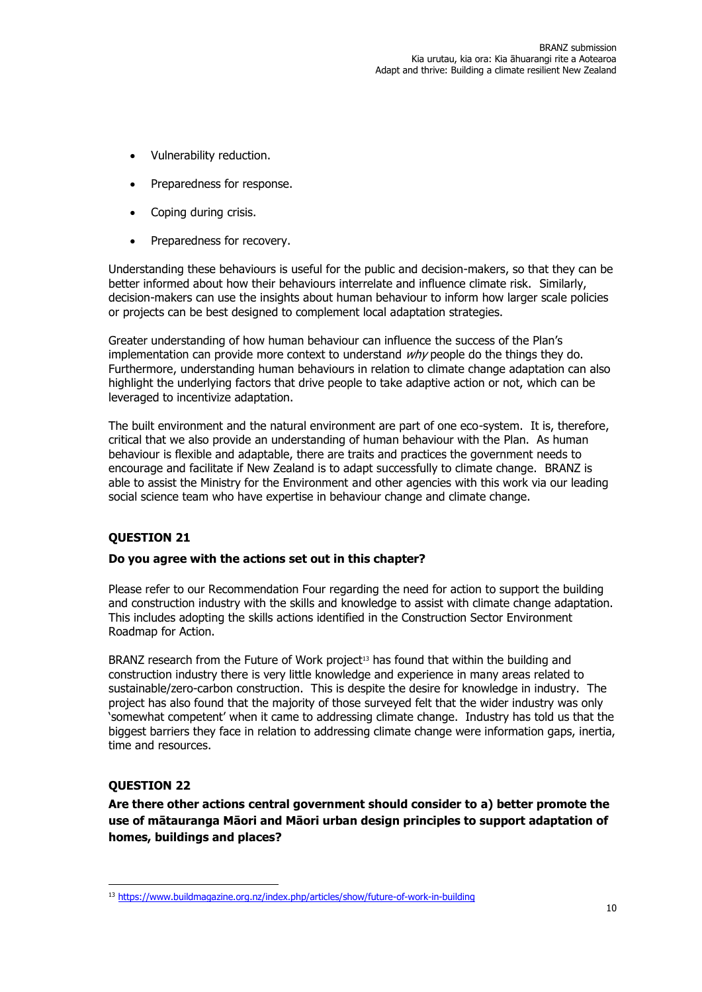- Vulnerability reduction.
- Preparedness for response.
- Coping during crisis.
- Preparedness for recovery.

Understanding these behaviours is useful for the public and decision-makers, so that they can be better informed about how their behaviours interrelate and influence climate risk. Similarly, decision-makers can use the insights about human behaviour to inform how larger scale policies or projects can be best designed to complement local adaptation strategies.

Greater understanding of how human behaviour can influence the success of the Plan's implementation can provide more context to understand  $why$  people do the things they do. Furthermore, understanding human behaviours in relation to climate change adaptation can also highlight the underlying factors that drive people to take adaptive action or not, which can be leveraged to incentivize adaptation.

The built environment and the natural environment are part of one eco-system. It is, therefore, critical that we also provide an understanding of human behaviour with the Plan. As human behaviour is flexible and adaptable, there are traits and practices the government needs to encourage and facilitate if New Zealand is to adapt successfully to climate change. BRANZ is able to assist the Ministry for the Environment and other agencies with this work via our leading social science team who have expertise in behaviour change and climate change.

# **QUESTION 21**

## **Do you agree with the actions set out in this chapter?**

Please refer to our Recommendation Four regarding the need for action to support the building and construction industry with the skills and knowledge to assist with climate change adaptation. This includes adopting the skills actions identified in the Construction Sector Environment Roadmap for Action.

BRANZ research from the Future of Work project<sup>13</sup> has found that within the building and construction industry there is very little knowledge and experience in many areas related to sustainable/zero-carbon construction. This is despite the desire for knowledge in industry. The project has also found that the majority of those surveyed felt that the wider industry was only 'somewhat competent' when it came to addressing climate change. Industry has told us that the biggest barriers they face in relation to addressing climate change were information gaps, inertia, time and resources.

# **QUESTION 22**

**Are there other actions central government should consider to a) better promote the use of mātauranga Māori and Māori urban design principles to support adaptation of homes, buildings and places?**

<sup>13</sup> <https://www.buildmagazine.org.nz/index.php/articles/show/future-of-work-in-building>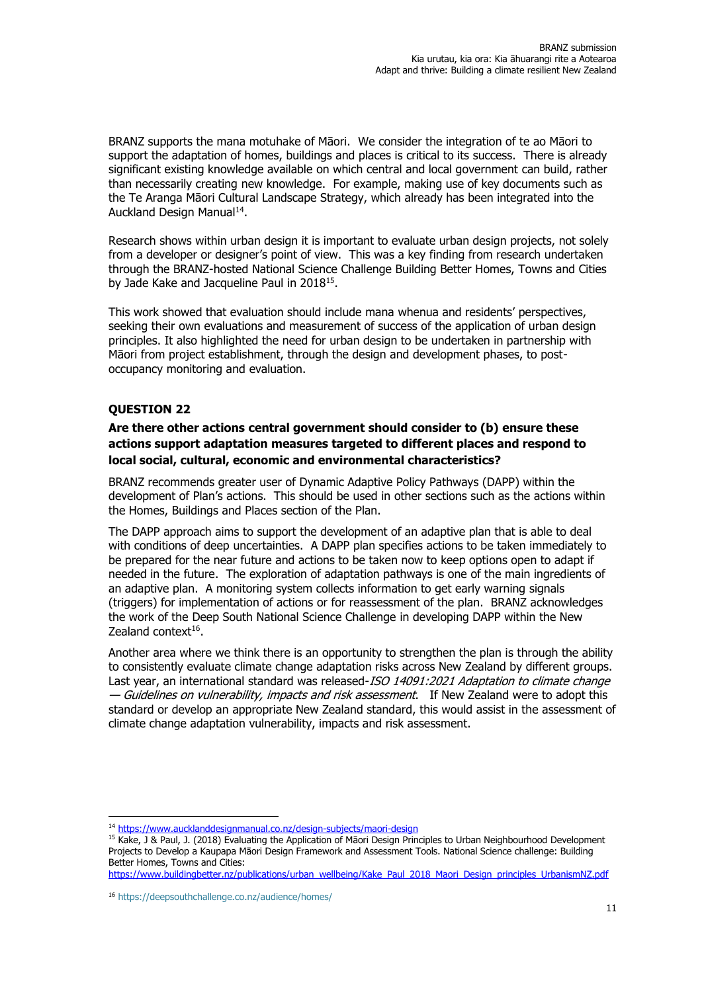BRANZ supports the mana motuhake of Māori. We consider the integration of te ao Māori to support the adaptation of homes, buildings and places is critical to its success. There is already significant existing knowledge available on which central and local government can build, rather than necessarily creating new knowledge. For example, making use of key documents such as the Te Aranga Māori Cultural Landscape Strategy, which already has been integrated into the Auckland Design Manual<sup>14</sup>.

Research shows within urban design it is important to evaluate urban design projects, not solely from a developer or designer's point of view. This was a key finding from research undertaken through the BRANZ-hosted National Science Challenge Building Better Homes, Towns and Cities by Jade Kake and Jacqueline Paul in 2018<sup>15</sup>.

This work showed that evaluation should include mana whenua and residents' perspectives, seeking their own evaluations and measurement of success of the application of urban design principles. It also highlighted the need for urban design to be undertaken in partnership with Māori from project establishment, through the design and development phases, to postoccupancy monitoring and evaluation.

# **QUESTION 22**

# **Are there other actions central government should consider to (b) ensure these actions support adaptation measures targeted to different places and respond to local social, cultural, economic and environmental characteristics?**

BRANZ recommends greater user of Dynamic Adaptive Policy Pathways (DAPP) within the development of Plan's actions. This should be used in other sections such as the actions within the Homes, Buildings and Places section of the Plan.

The DAPP approach aims to support the development of an adaptive plan that is able to deal with conditions of deep uncertainties. A DAPP plan specifies actions to be taken immediately to be prepared for the near future and actions to be taken now to keep options open to adapt if needed in the future. The exploration of adaptation pathways is one of the main ingredients of an adaptive plan. A monitoring system collects information to get early warning signals (triggers) for implementation of actions or for reassessment of the plan. BRANZ acknowledges the work of the Deep South National Science Challenge in developing DAPP within the New Zealand context<sup>16</sup>.

Another area where we think there is an opportunity to strengthen the plan is through the ability to consistently evaluate climate change adaptation risks across New Zealand by different groups. Last year, an international standard was released-ISO 14091:2021 Adaptation to climate change — *Guidelines on vulnerability, impacts and risk assessment*. If New Zealand were to adopt this standard or develop an appropriate New Zealand standard, this would assist in the assessment of climate change adaptation vulnerability, impacts and risk assessment.

[https://www.buildingbetter.nz/publications/urban\\_wellbeing/Kake\\_Paul\\_2018\\_Maori\\_Design\\_principles\\_UrbanismNZ.pdf](https://www.buildingbetter.nz/publications/urban_wellbeing/Kake_Paul_2018_Maori_Design_principles_UrbanismNZ.pdf)

<sup>14</sup> <https://www.aucklanddesignmanual.co.nz/design-subjects/maori-design>

<sup>&</sup>lt;sup>15</sup> Kake, J & Paul, J. (2018) Evaluating the Application of Māori Design Principles to Urban Neighbourhood Development Projects to Develop a Kaupapa Māori Design Framework and Assessment Tools. National Science challenge: Building Better Homes, Towns and Cities:

<sup>16</sup> <https://deepsouthchallenge.co.nz/audience/homes/>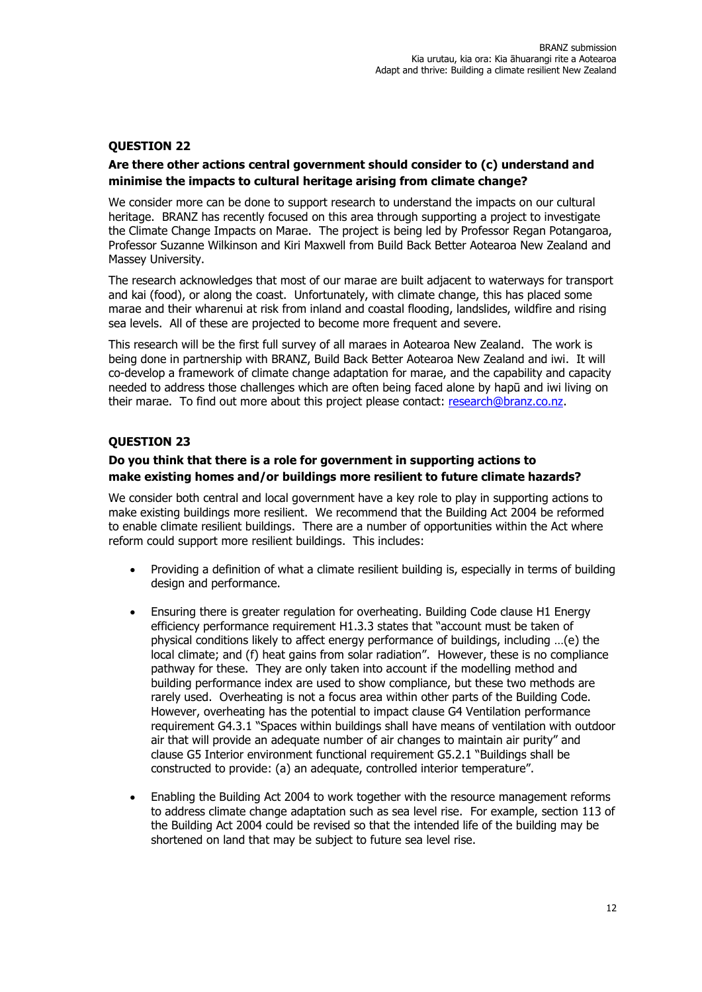# **QUESTION 22**

## **Are there other actions central government should consider to (c) understand and minimise the impacts to cultural heritage arising from climate change?**

We consider more can be done to support research to understand the impacts on our cultural heritage. BRANZ has recently focused on this area through supporting a project to investigate the Climate Change Impacts on Marae. The project is being led by Professor Regan Potangaroa, Professor Suzanne Wilkinson and Kiri Maxwell from Build Back Better Aotearoa New Zealand and Massey University.

The research acknowledges that most of our marae are built adjacent to waterways for transport and kai (food), or along the coast. Unfortunately, with climate change, this has placed some marae and their wharenui at risk from inland and coastal flooding, landslides, wildfire and rising sea levels. All of these are projected to become more frequent and severe.

This research will be the first full survey of all maraes in Aotearoa New Zealand. The work is being done in partnership with BRANZ, Build Back Better Aotearoa New Zealand and iwi. It will co-develop a framework of climate change adaptation for marae, and the capability and capacity needed to address those challenges which are often being faced alone by hapū and iwi living on their marae. To find out more about this project please contact: [research@branz.co.nz.](mailto:research@branz.co.nz)

# **QUESTION 23**

# **Do you think that there is a role for government in supporting actions to make existing homes and/or buildings more resilient to future climate hazards?**

We consider both central and local government have a key role to play in supporting actions to make existing buildings more resilient. We recommend that the Building Act 2004 be reformed to enable climate resilient buildings. There are a number of opportunities within the Act where reform could support more resilient buildings. This includes:

- Providing a definition of what a climate resilient building is, especially in terms of building design and performance.
- Ensuring there is greater regulation for overheating. Building Code clause H1 Energy efficiency performance requirement H1.3.3 states that "account must be taken of physical conditions likely to affect energy performance of buildings, including …(e) the local climate; and (f) heat gains from solar radiation". However, these is no compliance pathway for these. They are only taken into account if the modelling method and building performance index are used to show compliance, but these two methods are rarely used. Overheating is not a focus area within other parts of the Building Code. However, overheating has the potential to impact clause G4 Ventilation performance requirement G4.3.1 "Spaces within buildings shall have means of ventilation with outdoor air that will provide an adequate number of air changes to maintain air purity" and clause G5 Interior environment functional requirement G5.2.1 "Buildings shall be constructed to provide: (a) an adequate, controlled interior temperature".
- Enabling the Building Act 2004 to work together with the resource management reforms to address climate change adaptation such as sea level rise. For example, section 113 of the Building Act 2004 could be revised so that the intended life of the building may be shortened on land that may be subject to future sea level rise.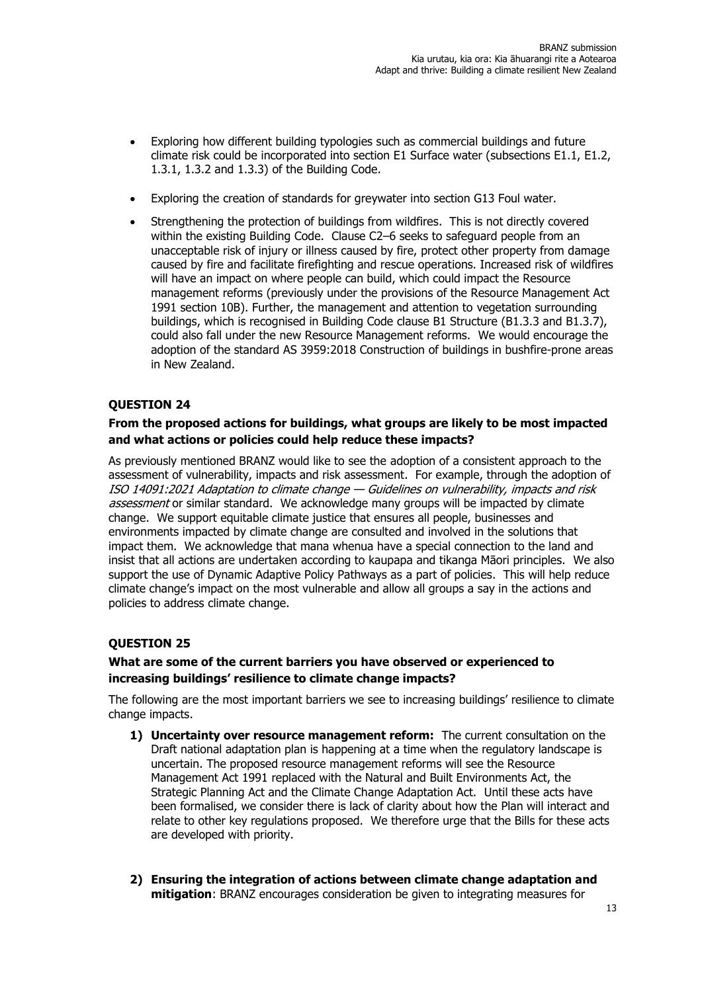- Exploring how different building typologies such as commercial buildings and future climate risk could be incorporated into section E1 Surface water (subsections E1.1, E1.2, 1.3.1, 1.3.2 and 1.3.3) of the Building Code.
- Exploring the creation of standards for greywater into section G13 Foul water.
- Strengthening the protection of buildings from wildfires. This is not directly covered within the existing Building Code. Clause C2-6 seeks to safeguard people from an unacceptable risk of injury or illness caused by fire, protect other property from damage caused by fire and facilitate firefighting and rescue operations. Increased risk of wildfires will have an impact on where people can build, which could impact the Resource management reforms (previously under the provisions of the Resource Management Act 1991 section 10B). Further, the management and attention to vegetation surrounding buildings, which is recognised in Building Code clause B1 Structure (B1.3.3 and B1.3.7), could also fall under the new Resource Management reforms. We would encourage the adoption of the standard AS 3959:2018 Construction of buildings in bushfire-prone areas in New Zealand.

# **QUESTION 24**

# **From the proposed actions for buildings, what groups are likely to be most impacted and what actions or policies could help reduce these impacts?**

As previously mentioned BRANZ would like to see the adoption of a consistent approach to the assessment of vulnerability, impacts and risk assessment. For example, through the adoption of ISO 14091:2021 Adaptation to climate change — Guidelines on vulnerability, impacts and risk assessment or similar standard. We acknowledge many groups will be impacted by climate change. We support equitable climate justice that ensures all people, businesses and environments impacted by climate change are consulted and involved in the solutions that impact them. We acknowledge that mana whenua have a special connection to the land and insist that all actions are undertaken according to kaupapa and tikanga Māori principles. We also support the use of Dynamic Adaptive Policy Pathways as a part of policies. This will help reduce climate change's impact on the most vulnerable and allow all groups a say in the actions and policies to address climate change.

# **QUESTION 25**

# **What are some of the current barriers you have observed or experienced to increasing buildings' resilience to climate change impacts?**

The following are the most important barriers we see to increasing buildings' resilience to climate change impacts.

- **1) Uncertainty over resource management reform:** The current consultation on the Draft national adaptation plan is happening at a time when the regulatory landscape is uncertain. The proposed resource management reforms will see the Resource Management Act 1991 replaced with the Natural and Built Environments Act, the Strategic Planning Act and the Climate Change Adaptation Act. Until these acts have been formalised, we consider there is lack of clarity about how the Plan will interact and relate to other key regulations proposed. We therefore urge that the Bills for these acts are developed with priority.
- **2) Ensuring the integration of actions between climate change adaptation and mitigation**: BRANZ encourages consideration be given to integrating measures for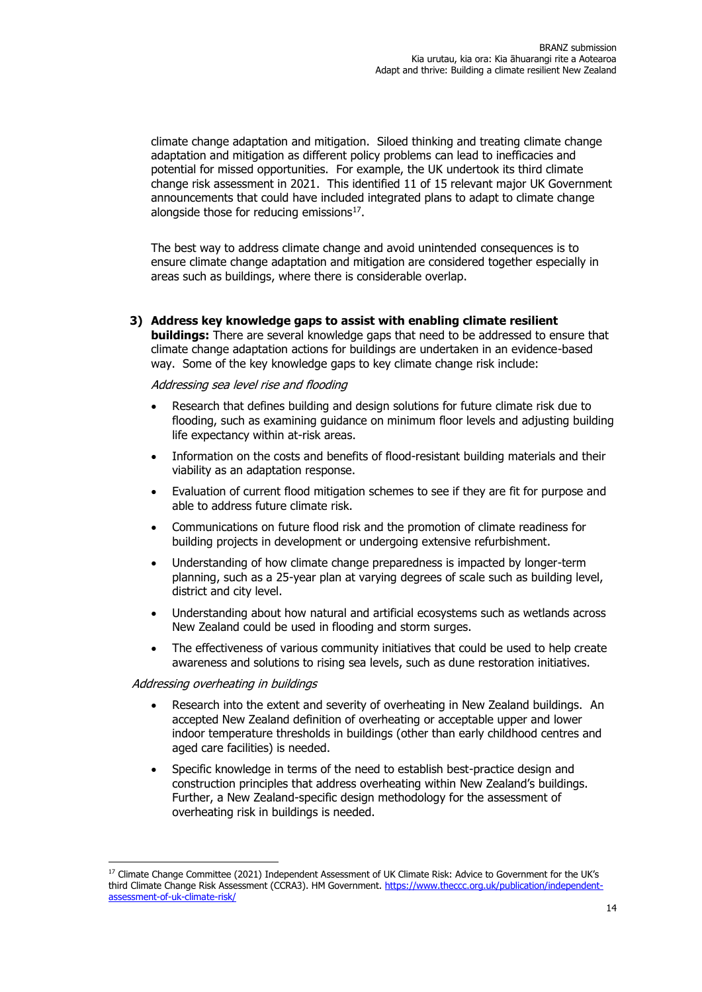climate change adaptation and mitigation. Siloed thinking and treating climate change adaptation and mitigation as different policy problems can lead to inefficacies and potential for missed opportunities. For example, the UK undertook its third climate change risk assessment in 2021. This identified 11 of 15 relevant major UK Government announcements that could have included integrated plans to adapt to climate change alongside those for reducing emissions $^{17}$ .

The best way to address climate change and avoid unintended consequences is to ensure climate change adaptation and mitigation are considered together especially in areas such as buildings, where there is considerable overlap.

#### **3) Address key knowledge gaps to assist with enabling climate resilient**

**buildings:** There are several knowledge gaps that need to be addressed to ensure that climate change adaptation actions for buildings are undertaken in an evidence-based way. Some of the key knowledge gaps to key climate change risk include:

#### Addressing sea level rise and flooding

- Research that defines building and design solutions for future climate risk due to flooding, such as examining guidance on minimum floor levels and adjusting building life expectancy within at-risk areas.
- Information on the costs and benefits of flood-resistant building materials and their viability as an adaptation response.
- Evaluation of current flood mitigation schemes to see if they are fit for purpose and able to address future climate risk.
- Communications on future flood risk and the promotion of climate readiness for building projects in development or undergoing extensive refurbishment.
- Understanding of how climate change preparedness is impacted by longer-term planning, such as a 25-year plan at varying degrees of scale such as building level, district and city level.
- Understanding about how natural and artificial ecosystems such as wetlands across New Zealand could be used in flooding and storm surges.
- The effectiveness of various community initiatives that could be used to help create awareness and solutions to rising sea levels, such as dune restoration initiatives.

#### Addressing overheating in buildings

- Research into the extent and severity of overheating in New Zealand buildings. An accepted New Zealand definition of overheating or acceptable upper and lower indoor temperature thresholds in buildings (other than early childhood centres and aged care facilities) is needed.
- Specific knowledge in terms of the need to establish best-practice design and construction principles that address overheating within New Zealand's buildings. Further, a New Zealand-specific design methodology for the assessment of overheating risk in buildings is needed.

<sup>&</sup>lt;sup>17</sup> Climate Change Committee (2021) Independent Assessment of UK Climate Risk: Advice to Government for the UK's third Climate Change Risk Assessment (CCRA3). HM Government. [https://www.theccc.org.uk/publication/independent](https://www.theccc.org.uk/publication/independent-assessment-of-uk-climate-risk/)[assessment-of-uk-climate-risk/](https://www.theccc.org.uk/publication/independent-assessment-of-uk-climate-risk/)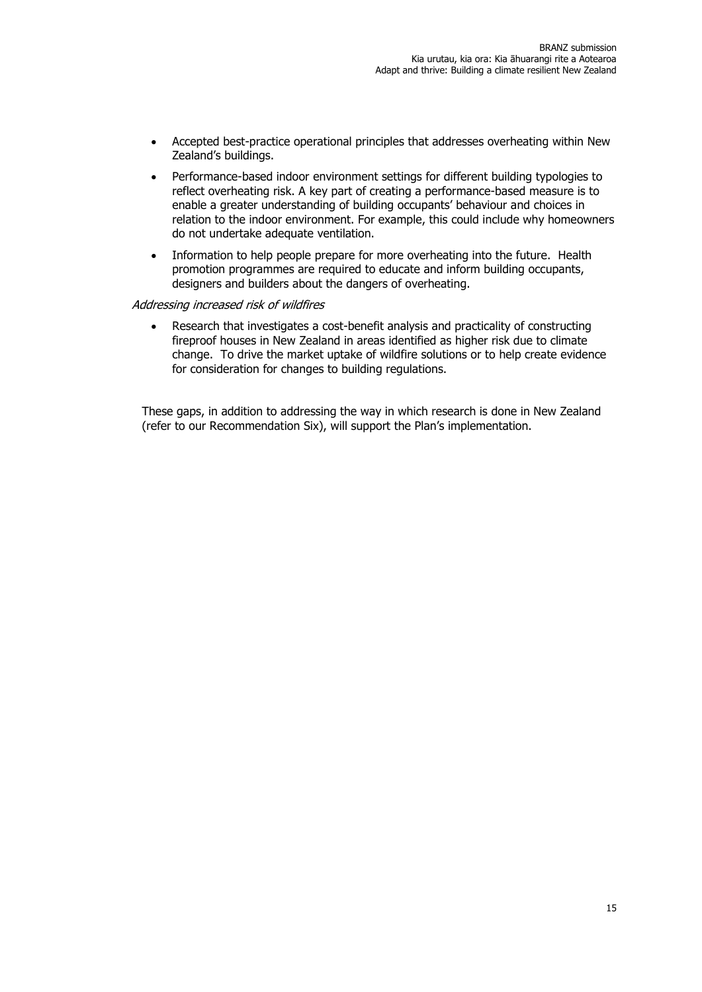- Accepted best-practice operational principles that addresses overheating within New Zealand's buildings.
- Performance-based indoor environment settings for different building typologies to reflect overheating risk. A key part of creating a performance-based measure is to enable a greater understanding of building occupants' behaviour and choices in relation to the indoor environment. For example, this could include why homeowners do not undertake adequate ventilation.
- Information to help people prepare for more overheating into the future. Health promotion programmes are required to educate and inform building occupants, designers and builders about the dangers of overheating.

#### Addressing increased risk of wildfires

• Research that investigates a cost-benefit analysis and practicality of constructing fireproof houses in New Zealand in areas identified as higher risk due to climate change. To drive the market uptake of wildfire solutions or to help create evidence for consideration for changes to building regulations.

These gaps, in addition to addressing the way in which research is done in New Zealand (refer to our Recommendation Six), will support the Plan's implementation.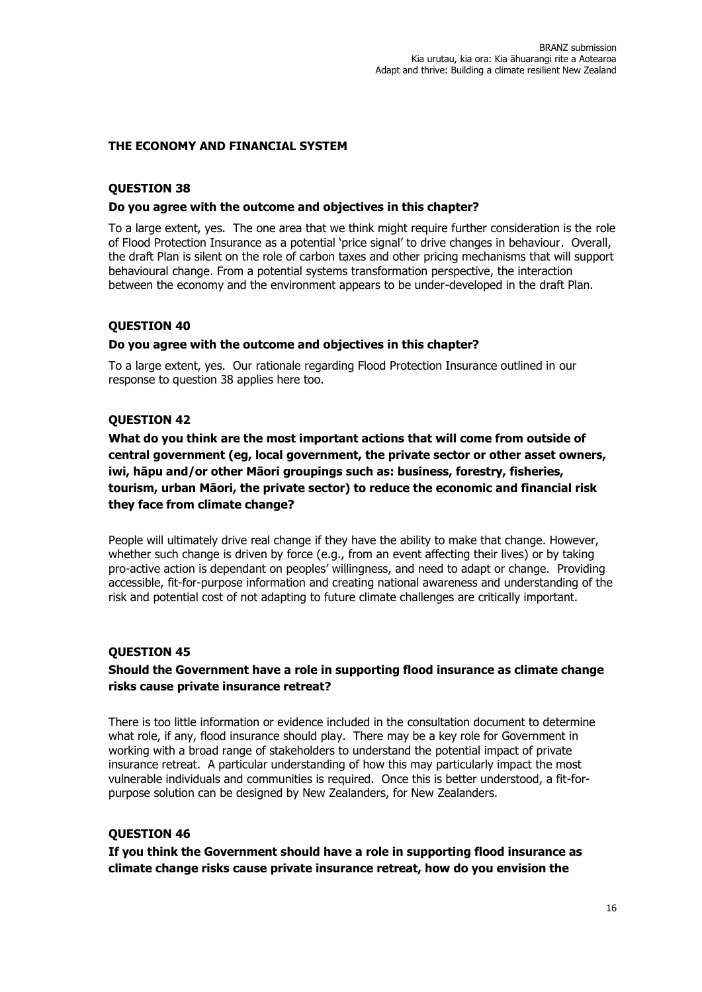## **THE ECONOMY AND FINANCIAL SYSTEM**

# **QUESTION 38**

## **Do you agree with the outcome and objectives in this chapter?**

To a large extent, yes. The one area that we think might require further consideration is the role of Flood Protection Insurance as a potential 'price signal' to drive changes in behaviour. Overall, the draft Plan is silent on the role of carbon taxes and other pricing mechanisms that will support behavioural change. From a potential systems transformation perspective, the interaction between the economy and the environment appears to be under-developed in the draft Plan.

# **QUESTION 40**

## **Do you agree with the outcome and objectives in this chapter?**

To a large extent, yes. Our rationale regarding Flood Protection Insurance outlined in our response to question 38 applies here too.

# **QUESTION 42**

**What do you think are the most important actions that will come from outside of central government (eg, local government, the private sector or other asset owners, iwi, hāpu and/or other Māori groupings such as: business, forestry, fisheries, tourism, urban Māori, the private sector) to reduce the economic and financial risk they face from climate change?**

People will ultimately drive real change if they have the ability to make that change. However, whether such change is driven by force (e.g., from an event affecting their lives) or by taking pro-active action is dependant on peoples' willingness, and need to adapt or change. Providing accessible, fit-for-purpose information and creating national awareness and understanding of the risk and potential cost of not adapting to future climate challenges are critically important.

## **QUESTION 45**

# **Should the Government have a role in supporting flood insurance as climate change risks cause private insurance retreat?**

There is too little information or evidence included in the consultation document to determine what role, if any, flood insurance should play. There may be a key role for Government in working with a broad range of stakeholders to understand the potential impact of private insurance retreat. A particular understanding of how this may particularly impact the most vulnerable individuals and communities is required. Once this is better understood, a fit-forpurpose solution can be designed by New Zealanders, for New Zealanders.

# **QUESTION 46**

**If you think the Government should have a role in supporting flood insurance as climate change risks cause private insurance retreat, how do you envision the**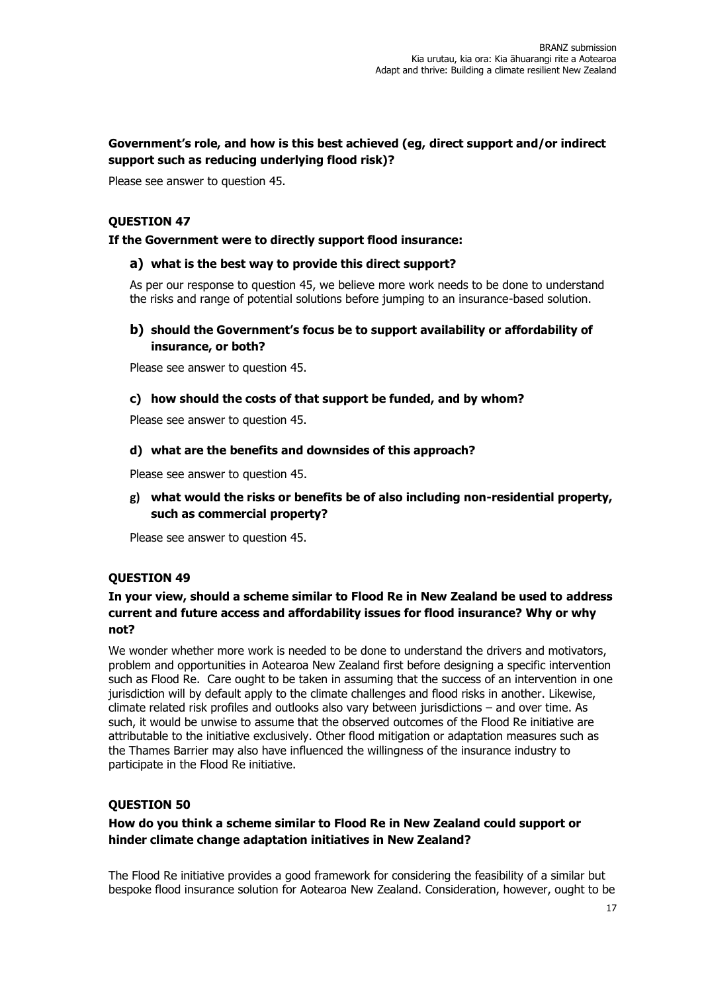# **Government's role, and how is this best achieved (eg, direct support and/or indirect support such as reducing underlying flood risk)?**

Please see answer to question 45.

# **QUESTION 47**

## **If the Government were to directly support flood insurance:**

## **a) what is the best way to provide this direct support?**

As per our response to question 45, we believe more work needs to be done to understand the risks and range of potential solutions before jumping to an insurance-based solution.

# **b) should the Government's focus be to support availability or affordability of insurance, or both?**

Please see answer to question 45.

# **c) how should the costs of that support be funded, and by whom?**

Please see answer to question 45.

## **d) what are the benefits and downsides of this approach?**

Please see answer to question 45.

**g) what would the risks or benefits be of also including non-residential property, such as commercial property?**

Please see answer to question 45.

# **QUESTION 49**

# **In your view, should a scheme similar to Flood Re in New Zealand be used to address current and future access and affordability issues for flood insurance? Why or why not?**

We wonder whether more work is needed to be done to understand the drivers and motivators, problem and opportunities in Aotearoa New Zealand first before designing a specific intervention such as Flood Re. Care ought to be taken in assuming that the success of an intervention in one jurisdiction will by default apply to the climate challenges and flood risks in another. Likewise, climate related risk profiles and outlooks also vary between jurisdictions – and over time. As such, it would be unwise to assume that the observed outcomes of the Flood Re initiative are attributable to the initiative exclusively. Other flood mitigation or adaptation measures such as the Thames Barrier may also have influenced the willingness of the insurance industry to participate in the Flood Re initiative.

# **QUESTION 50**

# **How do you think a scheme similar to Flood Re in New Zealand could support or hinder climate change adaptation initiatives in New Zealand?**

The Flood Re initiative provides a good framework for considering the feasibility of a similar but bespoke flood insurance solution for Aotearoa New Zealand. Consideration, however, ought to be